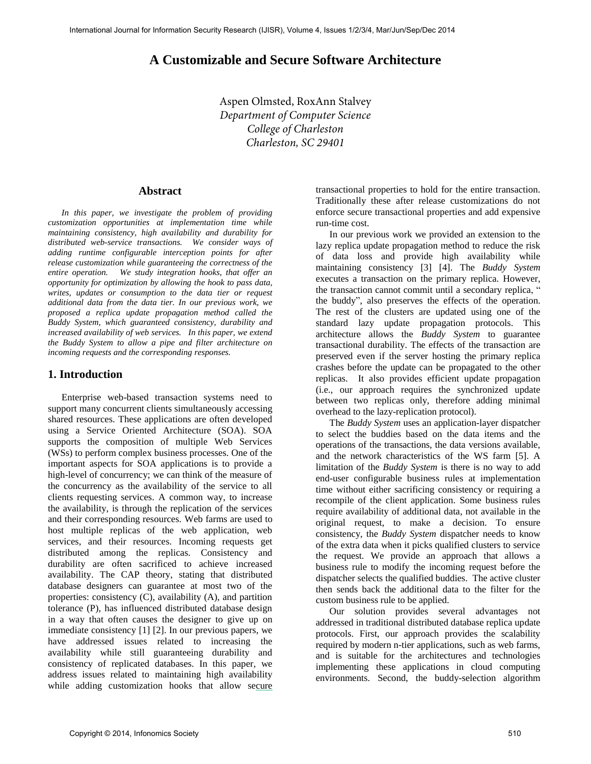# **A Customizable and Secure Software Architecture**

Aspen Olmsted, RoxAnn Stalvey *Department of Computer Science College of Charleston Charleston, SC 29401*

## **Abstract**

*In this paper, we investigate the problem of providing customization opportunities at implementation time while maintaining consistency, high availability and durability for distributed web-service transactions. We consider ways of adding runtime configurable interception points for after release customization while guaranteeing the correctness of the entire operation. We study integration hooks, that offer an opportunity for optimization by allowing the hook to pass data, writes, updates or consumption to the data tier or request additional data from the data tier. In our previous work, we proposed a replica update propagation method called the Buddy System, which guaranteed consistency, durability and increased availability of web services. In this paper, we extend the Buddy System to allow a pipe and filter architecture on incoming requests and the corresponding responses.* 

### **1. Introduction**

Enterprise web-based transaction systems need to support many concurrent clients simultaneously accessing shared resources. These applications are often developed using a Service Oriented Architecture (SOA). SOA supports the composition of multiple Web Services (WSs) to perform complex business processes. One of the important aspects for SOA applications is to provide a high-level of concurrency; we can think of the measure of the concurrency as the availability of the service to all clients requesting services. A common way, to increase the availability, is through the replication of the services and their corresponding resources. Web farms are used to host multiple replicas of the web application, web services, and their resources. Incoming requests get distributed among the replicas. Consistency and durability are often sacrificed to achieve increased availability. The CAP theory, stating that distributed database designers can guarantee at most two of the properties: consistency (C), availability (A), and partition tolerance (P), has influenced distributed database design in a way that often causes the designer to give up on immediate consistency [1] [2]. In our previous papers, we have addressed issues related to increasing the availability while still guaranteeing durability and consistency of replicated databases. In this paper, we address issues related to maintaining high availability while adding customization hooks that allow secure transactional properties to hold for the entire transaction. Traditionally these after release customizations do not enforce secure transactional properties and add expensive run-time cost.

In our previous work we provided an extension to the lazy replica update propagation method to reduce the risk of data loss and provide high availability while maintaining consistency [3] [4]. The *Buddy System* executes a transaction on the primary replica. However, the transaction cannot commit until a secondary replica, " the buddy", also preserves the effects of the operation. The rest of the clusters are updated using one of the standard lazy update propagation protocols. This architecture allows the *Buddy System* to guarantee transactional durability. The effects of the transaction are preserved even if the server hosting the primary replica crashes before the update can be propagated to the other replicas. It also provides efficient update propagation (i.e., our approach requires the synchronized update between two replicas only, therefore adding minimal overhead to the lazy-replication protocol).

The *Buddy System* uses an application-layer dispatcher to select the buddies based on the data items and the operations of the transactions, the data versions available, and the network characteristics of the WS farm [5]. A limitation of the *Buddy System* is there is no way to add end-user configurable business rules at implementation time without either sacrificing consistency or requiring a recompile of the client application. Some business rules require availability of additional data, not available in the original request, to make a decision. To ensure consistency, the *Buddy System* dispatcher needs to know of the extra data when it picks qualified clusters to service the request. We provide an approach that allows a business rule to modify the incoming request before the dispatcher selects the qualified buddies. The active cluster then sends back the additional data to the filter for the custom business rule to be applied.

Our solution provides several advantages not addressed in traditional distributed database replica update protocols. First, our approach provides the scalability required by modern n-tier applications, such as web farms, and is suitable for the architectures and technologies implementing these applications in cloud computing environments. Second, the buddy-selection algorithm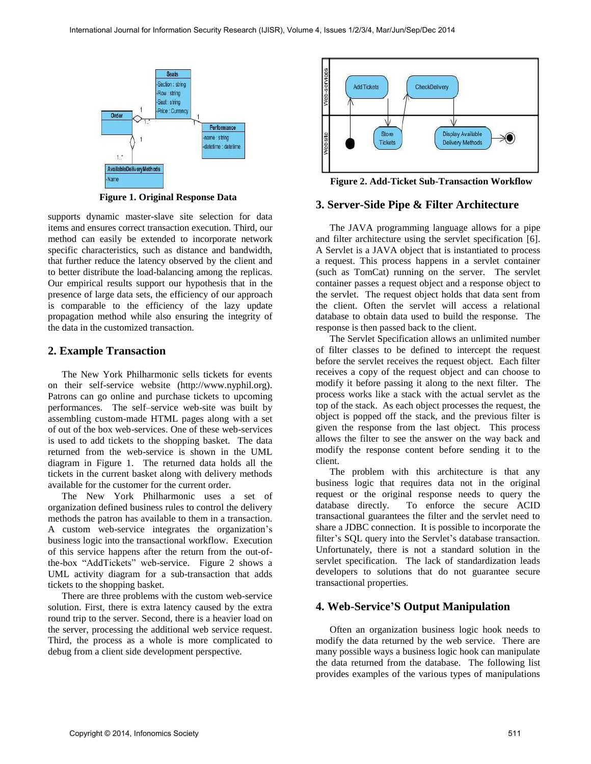

**Figure 1. Original Response Data**

<span id="page-1-0"></span>supports dynamic master-slave site selection for data items and ensures correct transaction execution. Third, our method can easily be extended to incorporate network specific characteristics, such as distance and bandwidth, that further reduce the latency observed by the client and to better distribute the load-balancing among the replicas. Our empirical results support our hypothesis that in the presence of large data sets, the efficiency of our approach is comparable to the efficiency of the lazy update propagation method while also ensuring the integrity of the data in the customized transaction.

## **2. Example Transaction**

The New York Philharmonic sells tickets for events on their self-service website (http://www.nyphil.org). Patrons can go online and purchase tickets to upcoming performances. The self–service web-site was built by assembling custom-made HTML pages along with a set of out of the box web-services. One of these web-services is used to add tickets to the shopping basket. The data returned from the web-service is shown in the UML diagram in [Figure 1.](#page-1-0) The returned data holds all the tickets in the current basket along with delivery methods available for the customer for the current order.

The New York Philharmonic uses a set of organization defined business rules to control the delivery methods the patron has available to them in a transaction. A custom web-service integrates the organization's business logic into the transactional workflow. Execution of this service happens after the return from the out-ofthe-box "AddTickets" web-service. [Figure 2](#page-1-1) shows a UML activity diagram for a sub-transaction that adds tickets to the shopping basket.

There are three problems with the custom web-service solution. First, there is extra latency caused by the extra round trip to the server. Second, there is a heavier load on the server, processing the additional web service request. Third, the process as a whole is more complicated to debug from a client side development perspective.



<span id="page-1-1"></span>**Figure 2. Add-Ticket Sub-Transaction Workflow**

## **3. Server-Side Pipe & Filter Architecture**

The JAVA programming language allows for a pipe and filter architecture using the servlet specification [6]. A Servlet is a JAVA object that is instantiated to process a request. This process happens in a servlet container (such as TomCat) running on the server. The servlet container passes a request object and a response object to the servlet. The request object holds that data sent from the client. Often the servlet will access a relational database to obtain data used to build the response. The response is then passed back to the client.

The Servlet Specification allows an unlimited number of filter classes to be defined to intercept the request before the servlet receives the request object. Each filter receives a copy of the request object and can choose to modify it before passing it along to the next filter. The process works like a stack with the actual servlet as the top of the stack. As each object processes the request, the object is popped off the stack, and the previous filter is given the response from the last object. This process allows the filter to see the answer on the way back and modify the response content before sending it to the client.

The problem with this architecture is that any business logic that requires data not in the original request or the original response needs to query the database directly. To enforce the secure ACID transactional guarantees the filter and the servlet need to share a JDBC connection. It is possible to incorporate the filter's SQL query into the Servlet's database transaction. Unfortunately, there is not a standard solution in the servlet specification. The lack of standardization leads developers to solutions that do not guarantee secure transactional properties.

## **4. Web-Service'S Output Manipulation**

Often an organization business logic hook needs to modify the data returned by the web service. There are many possible ways a business logic hook can manipulate the data returned from the database. The following list provides examples of the various types of manipulations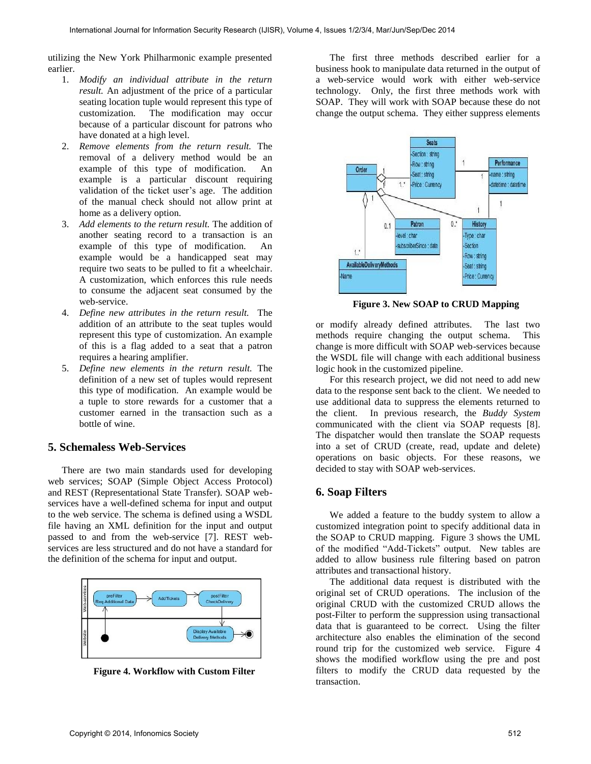utilizing the New York Philharmonic example presented earlier.

- 1. *Modify an individual attribute in the return result.* An adjustment of the price of a particular seating location tuple would represent this type of customization. The modification may occur because of a particular discount for patrons who have donated at a high level.
- 2. *Remove elements from the return result.* The removal of a delivery method would be an example of this type of modification. An example is a particular discount requiring validation of the ticket user's age. The addition of the manual check should not allow print at home as a delivery option.
- 3. *Add elements to the return result.* The addition of another seating record to a transaction is an example of this type of modification. An example would be a handicapped seat may require two seats to be pulled to fit a wheelchair. A customization, which enforces this rule needs to consume the adjacent seat consumed by the web-service.
- 4. *Define new attributes in the return result.* The addition of an attribute to the seat tuples would represent this type of customization. An example of this is a flag added to a seat that a patron requires a hearing amplifier.
- 5. *Define new elements in the return result.* The definition of a new set of tuples would represent this type of modification. An example would be a tuple to store rewards for a customer that a customer earned in the transaction such as a bottle of wine.

## **5. Schemaless Web-Services**

There are two main standards used for developing web services; SOAP (Simple Object Access Protocol) and REST (Representational State Transfer). SOAP webservices have a well-defined schema for input and output to the web service. The schema is defined using a WSDL file having an XML definition for the input and output passed to and from the web-service [7]. REST webservices are less structured and do not have a standard for the definition of the schema for input and output.



<span id="page-2-1"></span>**Figure 4. Workflow with Custom Filter**

The first three methods described earlier for a business hook to manipulate data returned in the output of a web-service would work with either web-service technology. Only, the first three methods work with SOAP. They will work with SOAP because these do not change the output schema. They either suppress elements



**Figure 3. New SOAP to CRUD Mapping**

<span id="page-2-0"></span>or modify already defined attributes. The last two methods require changing the output schema. This change is more difficult with SOAP web-services because the WSDL file will change with each additional business logic hook in the customized pipeline.

For this research project, we did not need to add new data to the response sent back to the client. We needed to use additional data to suppress the elements returned to the client. In previous research, the *Buddy System* communicated with the client via SOAP requests [8]. The dispatcher would then translate the SOAP requests into a set of CRUD (create, read, update and delete) operations on basic objects. For these reasons, we decided to stay with SOAP web-services.

### **6. Soap Filters**

We added a feature to the buddy system to allow a customized integration point to specify additional data in the SOAP to CRUD mapping. [Figure 3](#page-2-0) shows the UML of the modified "Add-Tickets" output. New tables are added to allow business rule filtering based on patron attributes and transactional history.

The additional data request is distributed with the original set of CRUD operations. The inclusion of the original CRUD with the customized CRUD allows the post-Filter to perform the suppression using transactional data that is guaranteed to be correct. Using the filter architecture also enables the elimination of the second round trip for the customized web service. [Figure 4](#page-2-1) shows the modified workflow using the pre and post filters to modify the CRUD data requested by the transaction.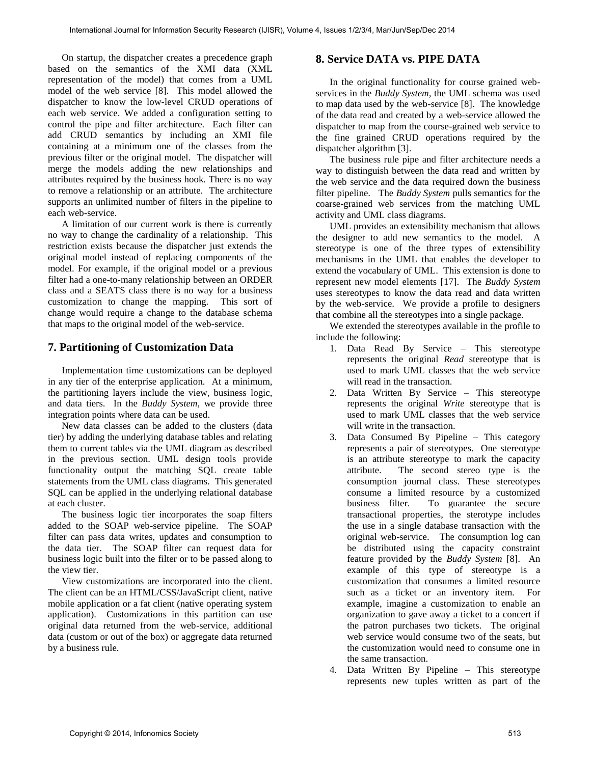On startup, the dispatcher creates a precedence graph based on the semantics of the XMI data (XML representation of the model) that comes from a UML model of the web service [8]. This model allowed the dispatcher to know the low-level CRUD operations of each web service. We added a configuration setting to control the pipe and filter architecture. Each filter can add CRUD semantics by including an XMI file containing at a minimum one of the classes from the previous filter or the original model. The dispatcher will merge the models adding the new relationships and attributes required by the business hook. There is no way to remove a relationship or an attribute. The architecture supports an unlimited number of filters in the pipeline to each web-service.

A limitation of our current work is there is currently no way to change the cardinality of a relationship. This restriction exists because the dispatcher just extends the original model instead of replacing components of the model. For example, if the original model or a previous filter had a one-to-many relationship between an ORDER class and a SEATS class there is no way for a business customization to change the mapping. This sort of change would require a change to the database schema that maps to the original model of the web-service.

# **7. Partitioning of Customization Data**

Implementation time customizations can be deployed in any tier of the enterprise application. At a minimum, the partitioning layers include the view, business logic, and data tiers. In the *Buddy System,* we provide three integration points where data can be used.

New data classes can be added to the clusters (data tier) by adding the underlying database tables and relating them to current tables via the UML diagram as described in the previous section. UML design tools provide functionality output the matching SQL create table statements from the UML class diagrams. This generated SQL can be applied in the underlying relational database at each cluster.

The business logic tier incorporates the soap filters added to the SOAP web-service pipeline. The SOAP filter can pass data writes, updates and consumption to the data tier. The SOAP filter can request data for business logic built into the filter or to be passed along to the view tier.

View customizations are incorporated into the client. The client can be an HTML/CSS/JavaScript client, native mobile application or a fat client (native operating system application). Customizations in this partition can use original data returned from the web-service, additional data (custom or out of the box) or aggregate data returned by a business rule.

# **8. Service DATA vs. PIPE DATA**

In the original functionality for course grained webservices in the *Buddy System,* the UML schema was used to map data used by the web-service [8]. The knowledge of the data read and created by a web-service allowed the dispatcher to map from the course-grained web service to the fine grained CRUD operations required by the dispatcher algorithm [3].

The business rule pipe and filter architecture needs a way to distinguish between the data read and written by the web service and the data required down the business filter pipeline. The *Buddy System* pulls semantics for the coarse-grained web services from the matching UML activity and UML class diagrams.

UML provides an extensibility mechanism that allows the designer to add new semantics to the model. A stereotype is one of the three types of extensibility mechanisms in the UML that enables the developer to extend the vocabulary of UML. This extension is done to represent new model elements [17]. The *Buddy System* uses stereotypes to know the data read and data written by the web-service. We provide a profile to designers that combine all the stereotypes into a single package.

We extended the stereotypes available in the profile to include the following:

- 1. Data Read By Service This stereotype represents the original *Read* stereotype that is used to mark UML classes that the web service will read in the transaction.
- 2. Data Written By Service This stereotype represents the original *Write* stereotype that is used to mark UML classes that the web service will write in the transaction.
- 3. Data Consumed By Pipeline This category represents a pair of stereotypes. One stereotype is an attribute stereotype to mark the capacity attribute. The second stereo type is the consumption journal class. These stereotypes consume a limited resource by a customized business filter. To guarantee the secure transactional properties, the sterotype includes the use in a single database transaction with the original web-service. The consumption log can be distributed using the capacity constraint feature provided by the *Buddy System* [8]. An example of this type of stereotype is a customization that consumes a limited resource such as a ticket or an inventory item. For example, imagine a customization to enable an organization to gave away a ticket to a concert if the patron purchases two tickets. The original web service would consume two of the seats, but the customization would need to consume one in the same transaction.
- 4. Data Written By Pipeline This stereotype represents new tuples written as part of the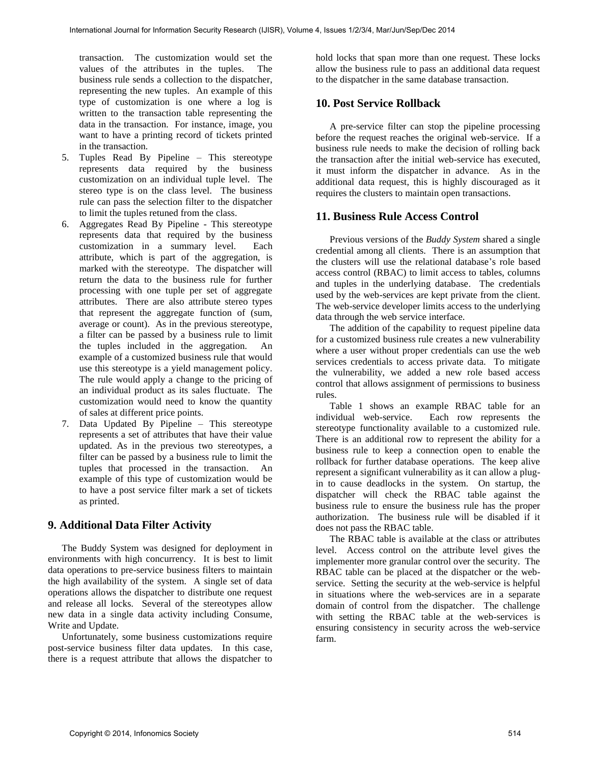transaction. The customization would set the values of the attributes in the tuples. The business rule sends a collection to the dispatcher, representing the new tuples. An example of this type of customization is one where a log is written to the transaction table representing the data in the transaction. For instance, image, you want to have a printing record of tickets printed in the transaction.

- 5. Tuples Read By Pipeline This stereotype represents data required by the business customization on an individual tuple level. The stereo type is on the class level. The business rule can pass the selection filter to the dispatcher to limit the tuples retuned from the class.
- 6. Aggregates Read By Pipeline This stereotype represents data that required by the business customization in a summary level. Each attribute, which is part of the aggregation, is marked with the stereotype. The dispatcher will return the data to the business rule for further processing with one tuple per set of aggregate attributes. There are also attribute stereo types that represent the aggregate function of (sum, average or count). As in the previous stereotype, a filter can be passed by a business rule to limit the tuples included in the aggregation. An example of a customized business rule that would use this stereotype is a yield management policy. The rule would apply a change to the pricing of an individual product as its sales fluctuate. The customization would need to know the quantity of sales at different price points.
- 7. Data Updated By Pipeline This stereotype represents a set of attributes that have their value updated. As in the previous two stereotypes, a filter can be passed by a business rule to limit the tuples that processed in the transaction. An example of this type of customization would be to have a post service filter mark a set of tickets as printed.

# **9. Additional Data Filter Activity**

The Buddy System was designed for deployment in environments with high concurrency. It is best to limit data operations to pre-service business filters to maintain the high availability of the system. A single set of data operations allows the dispatcher to distribute one request and release all locks. Several of the stereotypes allow new data in a single data activity including Consume, Write and Update.

Unfortunately, some business customizations require post-service business filter data updates. In this case, there is a request attribute that allows the dispatcher to

hold locks that span more than one request. These locks allow the business rule to pass an additional data request to the dispatcher in the same database transaction.

# **10. Post Service Rollback**

A pre-service filter can stop the pipeline processing before the request reaches the original web-service. If a business rule needs to make the decision of rolling back the transaction after the initial web-service has executed, it must inform the dispatcher in advance. As in the additional data request, this is highly discouraged as it requires the clusters to maintain open transactions.

# **11. Business Rule Access Control**

Previous versions of the *Buddy System* shared a single credential among all clients. There is an assumption that the clusters will use the relational database's role based access control (RBAC) to limit access to tables, columns and tuples in the underlying database. The credentials used by the web-services are kept private from the client. The web-service developer limits access to the underlying data through the web service interface.

The addition of the capability to request pipeline data for a customized business rule creates a new vulnerability where a user without proper credentials can use the web services credentials to access private data. To mitigate the vulnerability, we added a new role based access control that allows assignment of permissions to business rules.

[Table 1](#page-5-0) shows an example RBAC table for an individual web-service. Each row represents the stereotype functionality available to a customized rule. There is an additional row to represent the ability for a business rule to keep a connection open to enable the rollback for further database operations. The keep alive represent a significant vulnerability as it can allow a plugin to cause deadlocks in the system. On startup, the dispatcher will check the RBAC table against the business rule to ensure the business rule has the proper authorization. The business rule will be disabled if it does not pass the RBAC table.

The RBAC table is available at the class or attributes level. Access control on the attribute level gives the implementer more granular control over the security. The RBAC table can be placed at the dispatcher or the webservice. Setting the security at the web-service is helpful in situations where the web-services are in a separate domain of control from the dispatcher. The challenge with setting the RBAC table at the web-services is ensuring consistency in security across the web-service farm.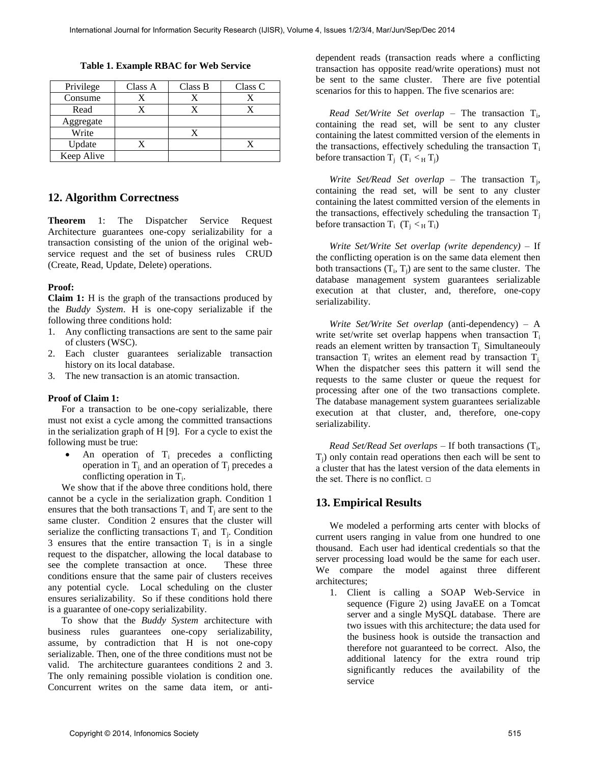<span id="page-5-0"></span>

| Privilege  | Class A | Class B | Class C |
|------------|---------|---------|---------|
| Consume    |         |         |         |
| Read       |         |         |         |
| Aggregate  |         |         |         |
| Write      |         |         |         |
| Update     |         |         |         |
| Keep Alive |         |         |         |

**Table 1. Example RBAC for Web Service**

## **12. Algorithm Correctness**

**Theorem** 1: The Dispatcher Service Request Architecture guarantees one-copy serializability for a transaction consisting of the union of the original webservice request and the set of business rules CRUD (Create, Read, Update, Delete) operations.

#### **Proof:**

**Claim 1:** H is the graph of the transactions produced by the *Buddy System*. H is one-copy serializable if the following three conditions hold:

- 1. Any conflicting transactions are sent to the same pair of clusters (WSC).
- 2. Each cluster guarantees serializable transaction history on its local database.
- 3. The new transaction is an atomic transaction.

#### **Proof of Claim 1:**

For a transaction to be one-copy serializable, there must not exist a cycle among the committed transactions in the serialization graph of H [9]. For a cycle to exist the following must be true:

 $\bullet$  An operation of  $T_i$  precedes a conflicting operation in  $T_{j}$ , and an operation of  $T_{j}$  precedes a conflicting operation in  $T_i$ .

We show that if the above three conditions hold, there cannot be a cycle in the serialization graph. Condition 1 ensures that the both transactions  $T_i$  and  $T_j$  are sent to the same cluster. Condition 2 ensures that the cluster will serialize the conflicting transactions  $T_i$  and  $T_j$ . Condition 3 ensures that the entire transaction  $T_i$  is in a single request to the dispatcher, allowing the local database to see the complete transaction at once. These three conditions ensure that the same pair of clusters receives any potential cycle. Local scheduling on the cluster ensures serializability. So if these conditions hold there is a guarantee of one-copy serializability.

To show that the *Buddy System* architecture with business rules guarantees one-copy serializability, assume, by contradiction that H is not one-copy serializable. Then, one of the three conditions must not be valid. The architecture guarantees conditions 2 and 3. The only remaining possible violation is condition one. Concurrent writes on the same data item, or antidependent reads (transaction reads where a conflicting transaction has opposite read/write operations) must not be sent to the same cluster. There are five potential scenarios for this to happen. The five scenarios are:

*Read Set/Write Set overlap* – The transaction T<sup>i</sup> , containing the read set, will be sent to any cluster containing the latest committed version of the elements in the transactions, effectively scheduling the transaction  $T_i$ before transaction  $T_j$  ( $T_i <_H T_j$ )

*Write Set/Read Set overlap* – The transaction  $T_j$ , containing the read set, will be sent to any cluster containing the latest committed version of the elements in the transactions, effectively scheduling the transaction  $T_i$ before transaction  $T_i$  ( $T_j <_H T_i$ )

*Write Set/Write Set overlap (write dependency)* – If the conflicting operation is on the same data element then both transactions  $(T_i, T_j)$  are sent to the same cluster. The database management system guarantees serializable execution at that cluster, and, therefore, one-copy serializability.

*Write Set/Write Set overlap* (anti-dependency) – A write set/write set overlap happens when transaction  $T_i$ reads an element written by transaction  $T_i$ . Simultaneouly transaction  $T_i$  writes an element read by transaction  $T_j$ . When the dispatcher sees this pattern it will send the requests to the same cluster or queue the request for processing after one of the two transactions complete. The database management system guarantees serializable execution at that cluster, and, therefore, one-copy serializability.

*Read Set/Read Set overlaps*  $-$  If both transactions  $(T_i,$ Tj) only contain read operations then each will be sent to a cluster that has the latest version of the data elements in the set. There is no conflict.  $\Box$ 

## **13. Empirical Results**

We modeled a performing arts center with blocks of current users ranging in value from one hundred to one thousand. Each user had identical credentials so that the server processing load would be the same for each user. We compare the model against three different architectures;

1. Client is calling a SOAP Web-Service in sequence [\(Figure 2\)](#page-1-1) using JavaEE on a Tomcat server and a single MySQL database. There are two issues with this architecture; the data used for the business hook is outside the transaction and therefore not guaranteed to be correct. Also, the additional latency for the extra round trip significantly reduces the availability of the service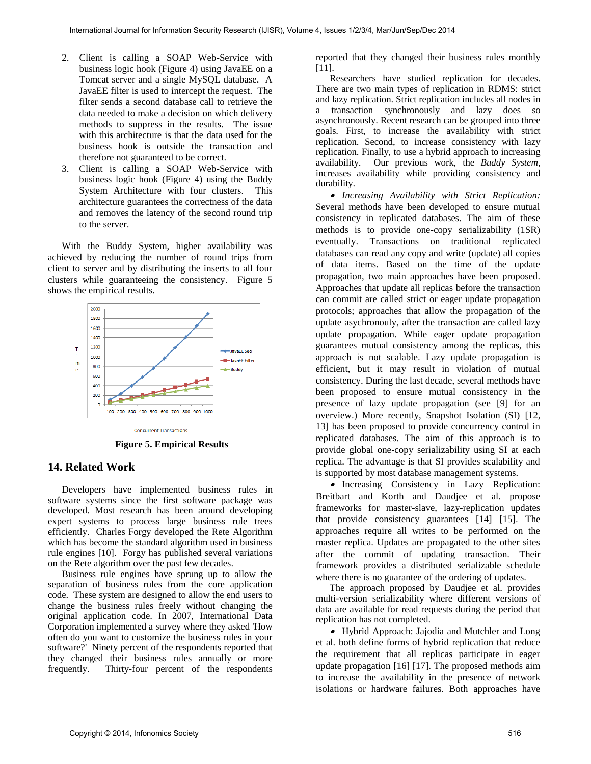- 2. Client is calling a SOAP Web-Service with business logic hook [\(Figure 4\)](#page-2-1) using JavaEE on a Tomcat server and a single MySQL database. A JavaEE filter is used to intercept the request. The filter sends a second database call to retrieve the data needed to make a decision on which delivery methods to suppress in the results. The issue with this architecture is that the data used for the business hook is outside the transaction and therefore not guaranteed to be correct.
- 3. Client is calling a SOAP Web-Service with business logic hook [\(Figure 4\)](#page-2-1) using the Buddy System Architecture with four clusters. This architecture guarantees the correctness of the data and removes the latency of the second round trip to the server.

With the Buddy System, higher availability was achieved by reducing the number of round trips from client to server and by distributing the inserts to all four clusters while guaranteeing the consistency. [Figure 5](#page-6-0) shows the empirical results.



**Concurrent Transactions** 

**Figure 5. Empirical Results**

## <span id="page-6-0"></span>**14. Related Work**

Developers have implemented business rules in software systems since the first software package was developed. Most research has been around developing expert systems to process large business rule trees efficiently. Charles Forgy developed the Rete Algorithm which has become the standard algorithm used in business rule engines [10]. Forgy has published several variations on the Rete algorithm over the past few decades.

Business rule engines have sprung up to allow the separation of business rules from the core application code. These system are designed to allow the end users to change the business rules freely without changing the original application code. In 2007, International Data Corporation implemented a survey where they asked 'How often do you want to customize the business rules in your software?' Ninety percent of the respondents reported that they changed their business rules annually or more frequently. Thirty-four percent of the respondents

reported that they changed their business rules monthly [11].

Researchers have studied replication for decades. There are two main types of replication in RDMS: strict and lazy replication. Strict replication includes all nodes in a transaction synchronously and lazy does so asynchronously. Recent research can be grouped into three goals. First, to increase the availability with strict replication. Second, to increase consistency with lazy replication. Finally, to use a hybrid approach to increasing availability. Our previous work, the *Buddy System*, increases availability while providing consistency and durability.

 *Increasing Availability with Strict Replication:*  Several methods have been developed to ensure mutual consistency in replicated databases. The aim of these methods is to provide one-copy serializability (1SR) eventually. Transactions on traditional replicated databases can read any copy and write (update) all copies of data items. Based on the time of the update propagation, two main approaches have been proposed. Approaches that update all replicas before the transaction can commit are called strict or eager update propagation protocols; approaches that allow the propagation of the update asychronouly, after the transaction are called lazy update propagation. While eager update propagation guarantees mutual consistency among the replicas, this approach is not scalable. Lazy update propagation is efficient, but it may result in violation of mutual consistency. During the last decade, several methods have been proposed to ensure mutual consistency in the presence of lazy update propagation (see [9] for an overview.) More recently, Snapshot Isolation (SI) [12, 13] has been proposed to provide concurrency control in replicated databases. The aim of this approach is to provide global one-copy serializability using SI at each replica. The advantage is that SI provides scalability and is supported by most database management systems.

 Increasing Consistency in Lazy Replication: Breitbart and Korth and Daudjee et al. propose frameworks for master-slave, lazy-replication updates that provide consistency guarantees [14] [15]. The approaches require all writes to be performed on the master replica. Updates are propagated to the other sites after the commit of updating transaction. Their framework provides a distributed serializable schedule where there is no guarantee of the ordering of updates.

The approach proposed by Daudjee et al. provides multi-version serializability where different versions of data are available for read requests during the period that replication has not completed.

 Hybrid Approach: Jajodia and Mutchler and Long et al. both define forms of hybrid replication that reduce the requirement that all replicas participate in eager update propagation [16] [17]. The proposed methods aim to increase the availability in the presence of network isolations or hardware failures. Both approaches have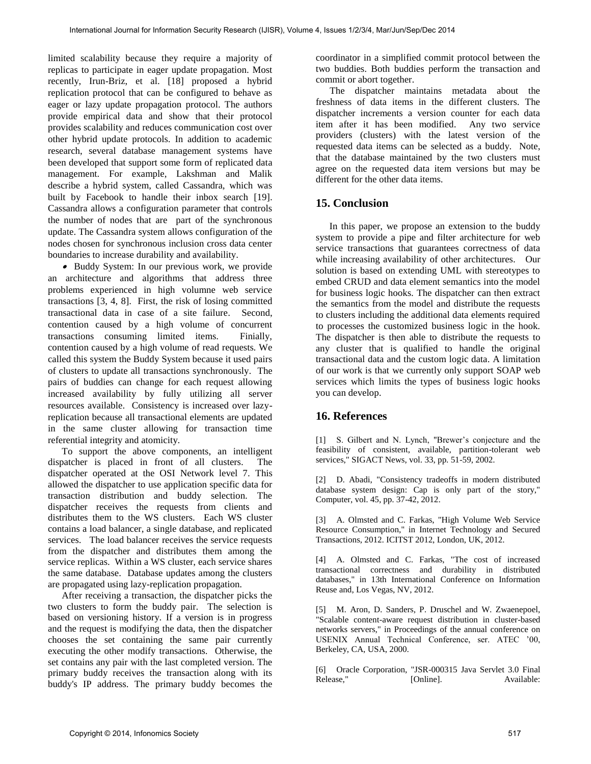limited scalability because they require a majority of replicas to participate in eager update propagation. Most recently, Irun-Briz, et al. [18] proposed a hybrid replication protocol that can be configured to behave as eager or lazy update propagation protocol. The authors provide empirical data and show that their protocol provides scalability and reduces communication cost over other hybrid update protocols. In addition to academic research, several database management systems have been developed that support some form of replicated data management. For example, Lakshman and Malik describe a hybrid system, called Cassandra, which was built by Facebook to handle their inbox search [19]. Cassandra allows a configuration parameter that controls the number of nodes that are part of the synchronous update. The Cassandra system allows configuration of the nodes chosen for synchronous inclusion cross data center boundaries to increase durability and availability.

 Buddy System: In our previous work, we provide an architecture and algorithms that address three problems experienced in high volumne web service transactions [3, 4, 8]. First, the risk of losing committed transactional data in case of a site failure. Second, contention caused by a high volume of concurrent transactions consuming limited items. Finially, contention caused by a high volume of read requests. We called this system the Buddy System because it used pairs of clusters to update all transactions synchronously. The pairs of buddies can change for each request allowing increased availability by fully utilizing all server resources available. Consistency is increased over lazyreplication because all transactional elements are updated in the same cluster allowing for transaction time referential integrity and atomicity.

To support the above components, an intelligent dispatcher is placed in front of all clusters. The dispatcher operated at the OSI Network level 7. This allowed the dispatcher to use application specific data for transaction distribution and buddy selection. The dispatcher receives the requests from clients and distributes them to the WS clusters. Each WS cluster contains a load balancer, a single database, and replicated services. The load balancer receives the service requests from the dispatcher and distributes them among the service replicas. Within a WS cluster, each service shares the same database. Database updates among the clusters are propagated using lazy-replication propagation.

After receiving a transaction, the dispatcher picks the two clusters to form the buddy pair. The selection is based on versioning history. If a version is in progress and the request is modifying the data, then the dispatcher chooses the set containing the same pair currently executing the other modify transactions. Otherwise, the set contains any pair with the last completed version. The primary buddy receives the transaction along with its buddy's IP address. The primary buddy becomes the

coordinator in a simplified commit protocol between the two buddies. Both buddies perform the transaction and commit or abort together.

The dispatcher maintains metadata about the freshness of data items in the different clusters. The dispatcher increments a version counter for each data item after it has been modified. Any two service providers (clusters) with the latest version of the requested data items can be selected as a buddy. Note, that the database maintained by the two clusters must agree on the requested data item versions but may be different for the other data items.

## **15. Conclusion**

In this paper, we propose an extension to the buddy system to provide a pipe and filter architecture for web service transactions that guarantees correctness of data while increasing availability of other architectures. Our solution is based on extending UML with stereotypes to embed CRUD and data element semantics into the model for business logic hooks. The dispatcher can then extract the semantics from the model and distribute the requests to clusters including the additional data elements required to processes the customized business logic in the hook. The dispatcher is then able to distribute the requests to any cluster that is qualified to handle the original transactional data and the custom logic data. A limitation of our work is that we currently only support SOAP web services which limits the types of business logic hooks you can develop.

## **16. References**

[1] S. Gilbert and N. Lynch, "Brewer's conjecture and the feasibility of consistent, available, partition-tolerant web services," SIGACT News, vol. 33, pp. 51-59, 2002.

[2] D. Abadi, "Consistency tradeoffs in modern distributed database system design: Cap is only part of the story," Computer, vol. 45, pp. 37-42, 2012.

[3] A. Olmsted and C. Farkas, "High Volume Web Service Resource Consumption," in Internet Technology and Secured Transactions, 2012. ICITST 2012, London, UK, 2012.

[4] A. Olmsted and C. Farkas, "The cost of increased transactional correctness and durability in distributed databases," in 13th International Conference on Information Reuse and, Los Vegas, NV, 2012.

[5] M. Aron, D. Sanders, P. Druschel and W. Zwaenepoel, "Scalable content-aware request distribution in cluster-based networks servers," in Proceedings of the annual conference on USENIX Annual Technical Conference, ser. ATEC '00, Berkeley, CA, USA, 2000.

[6] Oracle Corporation, "JSR-000315 Java Servlet 3.0 Final Release," [Online]. Available: